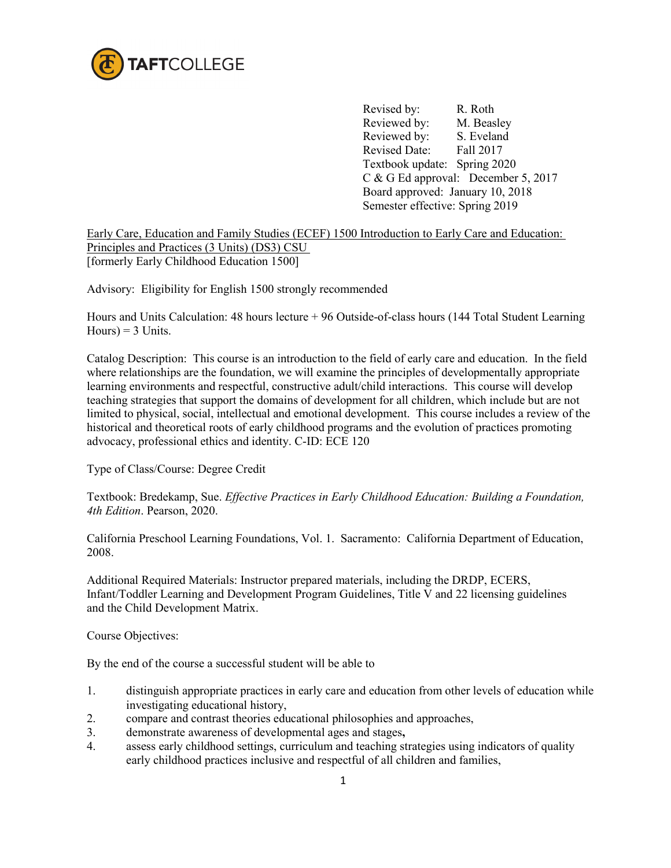

Revised by: R. Roth Reviewed by: M. Beasley Reviewed by: S. Eveland Revised Date: Fall 2017 Textbook update: Spring 2020 C & G Ed approval: December 5, 2017 Board approved: January 10, 2018 Semester effective: Spring 2019

Early Care, Education and Family Studies (ECEF) 1500 Introduction to Early Care and Education: Principles and Practices (3 Units) (DS3) CSU [formerly Early Childhood Education 1500]

Advisory: Eligibility for English 1500 strongly recommended

Hours and Units Calculation: 48 hours lecture + 96 Outside-of-class hours (144 Total Student Learning  $Hours$  = 3 Units.

Catalog Description: This course is an introduction to the field of early care and education. In the field where relationships are the foundation, we will examine the principles of developmentally appropriate learning environments and respectful, constructive adult/child interactions. This course will develop teaching strategies that support the domains of development for all children, which include but are not limited to physical, social, intellectual and emotional development. This course includes a review of the historical and theoretical roots of early childhood programs and the evolution of practices promoting advocacy, professional ethics and identity. C-ID: ECE 120

Type of Class/Course: Degree Credit

Textbook: Bredekamp, Sue. *Effective Practices in Early Childhood Education: Building a Foundation, 4th Edition*. Pearson, 2020.

California Preschool Learning Foundations, Vol. 1. Sacramento: California Department of Education, 2008.

Additional Required Materials: Instructor prepared materials, including the DRDP, ECERS, Infant/Toddler Learning and Development Program Guidelines, Title V and 22 licensing guidelines and the Child Development Matrix.

Course Objectives:

By the end of the course a successful student will be able to

- 1. distinguish appropriate practices in early care and education from other levels of education while investigating educational history,
- 2. compare and contrast theories educational philosophies and approaches,
- 3. demonstrate awareness of developmental ages and stages**,**
- 4. assess early childhood settings, curriculum and teaching strategies using indicators of quality early childhood practices inclusive and respectful of all children and families,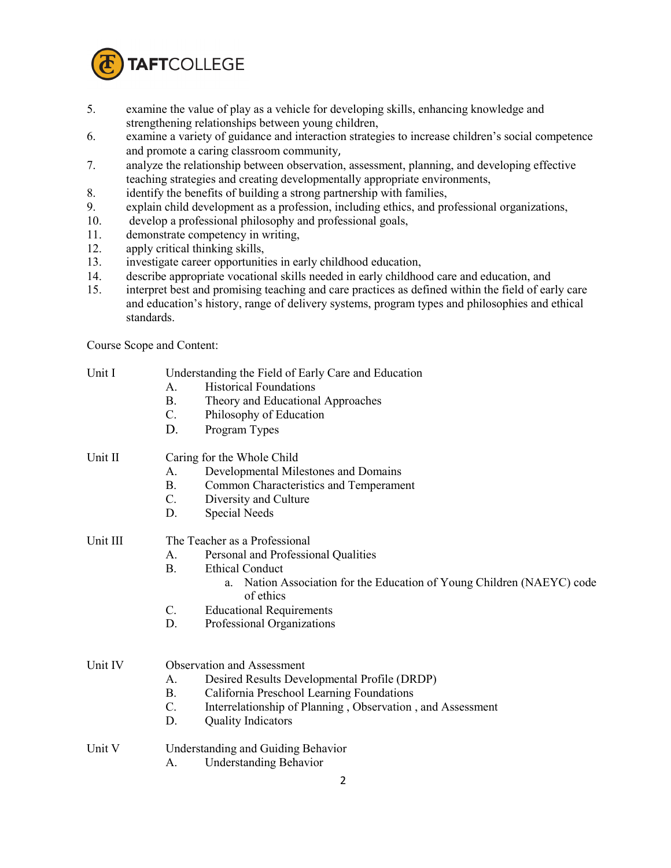

- 5. examine the value of play as a vehicle for developing skills, enhancing knowledge and strengthening relationships between young children,
- 6. examine a variety of guidance and interaction strategies to increase children's social competence and promote a caring classroom community,
- 7. analyze the relationship between observation, assessment, planning, and developing effective teaching strategies and creating developmentally appropriate environments,
- 8. identify the benefits of building a strong partnership with families,
- 9. explain child development as a profession, including ethics, and professional organizations,
- 10. develop a professional philosophy and professional goals,
- 11. demonstrate competency in writing,
- 12. apply critical thinking skills,
- 13. investigate career opportunities in early childhood education,
- 14. describe appropriate vocational skills needed in early childhood care and education, and
- 15. interpret best and promising teaching and care practices as defined within the field of early care and education's history, range of delivery systems, program types and philosophies and ethical standards.

Course Scope and Content:

| Unit I   | Understanding the Field of Early Care and Education                                    |  |  |
|----------|----------------------------------------------------------------------------------------|--|--|
|          | <b>Historical Foundations</b><br>A.                                                    |  |  |
|          | Theory and Educational Approaches<br><b>B.</b>                                         |  |  |
|          | C.<br>Philosophy of Education                                                          |  |  |
|          | D.<br>Program Types                                                                    |  |  |
| Unit II  | Caring for the Whole Child                                                             |  |  |
|          | Developmental Milestones and Domains<br>A.                                             |  |  |
|          | В.<br>Common Characteristics and Temperament                                           |  |  |
|          | C.<br>Diversity and Culture                                                            |  |  |
|          | <b>Special Needs</b><br>D.                                                             |  |  |
| Unit III | The Teacher as a Professional                                                          |  |  |
|          | Personal and Professional Qualities<br>A.                                              |  |  |
|          | <b>B.</b><br><b>Ethical Conduct</b>                                                    |  |  |
|          | Nation Association for the Education of Young Children (NAEYC) code<br>a.<br>of ethics |  |  |
|          | $\mathcal{C}$ .<br><b>Educational Requirements</b>                                     |  |  |
|          | D.<br>Professional Organizations                                                       |  |  |
|          |                                                                                        |  |  |
| Unit IV  | <b>Observation and Assessment</b>                                                      |  |  |
|          | Desired Results Developmental Profile (DRDP)<br>A.                                     |  |  |
|          | <b>B.</b><br>California Preschool Learning Foundations                                 |  |  |
|          | Interrelationship of Planning, Observation, and Assessment<br>C.                       |  |  |
|          | D.<br><b>Quality Indicators</b>                                                        |  |  |
| Unit V   | Understanding and Guiding Behavior                                                     |  |  |
|          | <b>Understanding Behavior</b><br>A.                                                    |  |  |
|          | າ                                                                                      |  |  |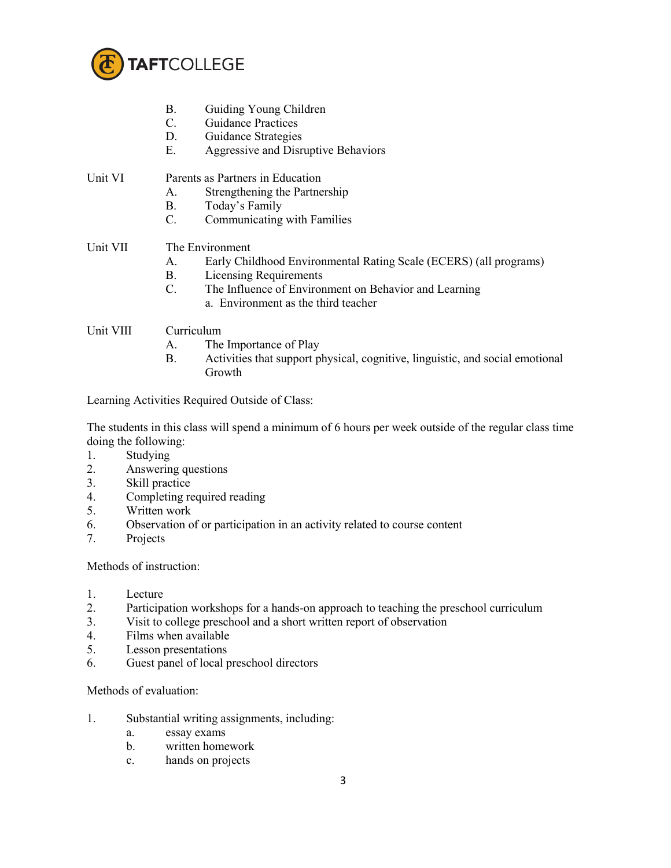

- B. Guiding Young Children
- C. Guidance Practices
- D. Guidance Strategies
- E. Aggressive and Disruptive Behaviors
- Unit VI Parents as Partners in Education
	- A. Strengthening the Partnership
	- B. Today's Family
	- C. Communicating with Families

## Unit VII The Environment

- A. Early Childhood Environmental Rating Scale (ECERS) (all programs)
- B. Licensing Requirements<br>C. The Influence of Enviror
- The Influence of Environment on Behavior and Learning a. Environment as the third teacher

## Unit VIII Curriculum

- A. The Importance of Play
- B. Activities that support physical, cognitive, linguistic, and social emotional Growth

Learning Activities Required Outside of Class:

The students in this class will spend a minimum of 6 hours per week outside of the regular class time doing the following:

- 1. Studying
- 2. Answering questions
- 3. Skill practice
- 4. Completing required reading
- 5. Written work
- 6. Observation of or participation in an activity related to course content
- 7. Projects

Methods of instruction:

- 1. Lecture
- 2. Participation workshops for a hands-on approach to teaching the preschool curriculum
- 3. Visit to college preschool and a short written report of observation
- 4. Films when available
- 5. Lesson presentations
- 6. Guest panel of local preschool directors

Methods of evaluation:

- 1. Substantial writing assignments, including:
	- a. essay exams
	- b. written homework
	- c. hands on projects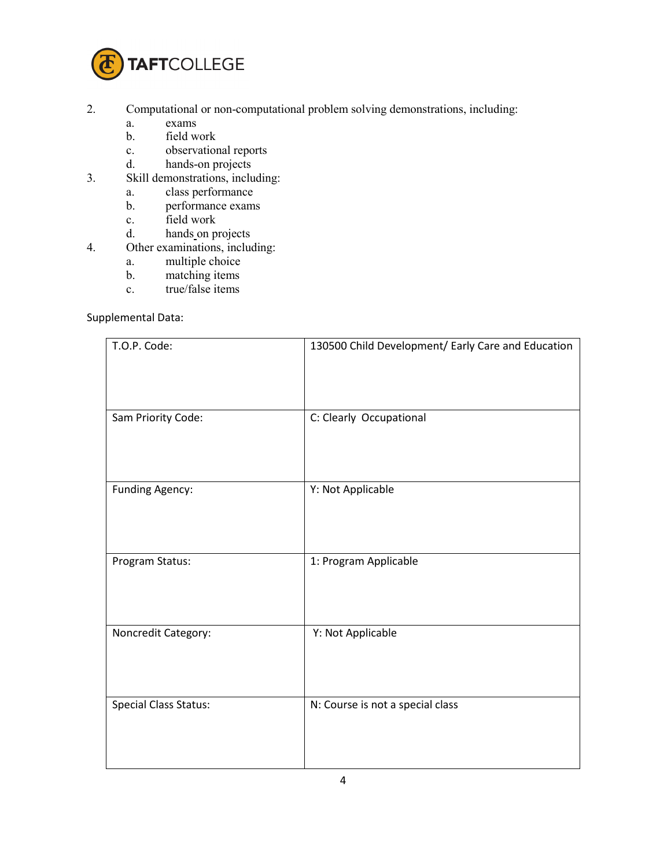

- 2. Computational or non-computational problem solving demonstrations, including:
	- a. exams
	- b. field work
	- c. observational reports
	-
- d. hands-on projects<br>3. Skill demonstrations, inclu Skill demonstrations, including:
	- a. class performance
	- b. performance exams
	- c. field work
	-
- d. hands on projects 4. Other examinations, include Other examinations, including:
	- a. multiple choice
	- b. matching items
	- c. true/false items

## Supplemental Data:

| T.O.P. Code:                 | 130500 Child Development/ Early Care and Education |
|------------------------------|----------------------------------------------------|
| Sam Priority Code:           | C: Clearly Occupational                            |
| <b>Funding Agency:</b>       | Y: Not Applicable                                  |
| Program Status:              | 1: Program Applicable                              |
| Noncredit Category:          | Y: Not Applicable                                  |
| <b>Special Class Status:</b> | N: Course is not a special class                   |